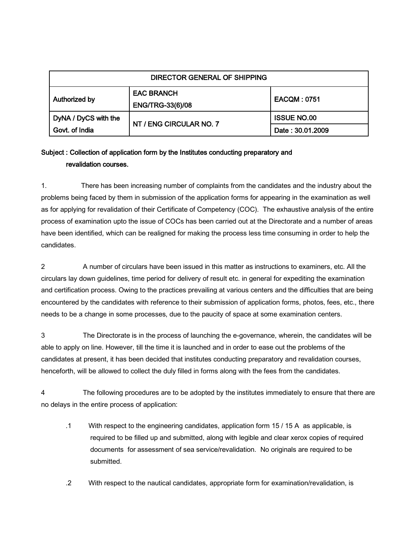| DIRECTOR GENERAL OF SHIPPING |                                              |                    |
|------------------------------|----------------------------------------------|--------------------|
| Authorized by                | <b>EAC BRANCH</b><br><b>ENG/TRG-33(6)/08</b> | <b>EACQM: 0751</b> |
| DyNA / DyCS with the         | NT / ENG CIRCULAR NO. 7                      | <b>ISSUE NO.00</b> |
| Govt. of India               |                                              | Date: 30.01.2009   |

## Subject : Collection of application form by the Institutes conducting preparatory and revalidation courses.

1. There has been increasing number of complaints from the candidates and the industry about the problems being faced by them in submission of the application forms for appearing in the examination as well as for applying for revalidation of their Certificate of Competency (COC). The exhaustive analysis of the entire process of examination upto the issue of COCs has been carried out at the Directorate and a number of areas have been identified, which can be realigned for making the process less time consuming in order to help the candidates.

2 A number of circulars have been issued in this matter as instructions to examiners, etc. All the circulars lay down guidelines, time period for delivery of result etc. in general for expediting the examination and certification process. Owing to the practices prevailing at various centers and the difficulties that are being encountered by the candidates with reference to their submission of application forms, photos, fees, etc., there needs to be a change in some processes, due to the paucity of space at some examination centers.

3 The Directorate is in the process of launching the e-governance, wherein, the candidates will be able to apply on line. However, till the time it is launched and in order to ease out the problems of the candidates at present, it has been decided that institutes conducting preparatory and revalidation courses, henceforth, will be allowed to collect the duly filled in forms along with the fees from the candidates.

4 The following procedures are to be adopted by the institutes immediately to ensure that there are no delays in the entire process of application:

- .1 With respect to the engineering candidates, application form 15 / 15 A as applicable, is required to be filled up and submitted, along with legible and clear xerox copies of required documents for assessment of sea service/revalidation. No originals are required to be submitted.
- .2 With respect to the nautical candidates, appropriate form for examination/revalidation, is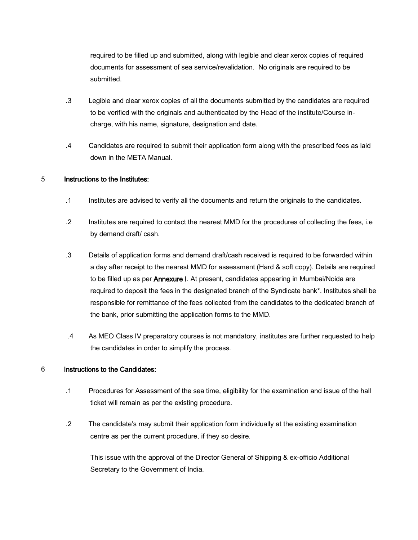required to be filled up and submitted, along with legible and clear xerox copies of required documents for assessment of sea service/revalidation. No originals are required to be submitted.

- .3 Legible and clear xerox copies of all the documents submitted by the candidates are required to be verified with the originals and authenticated by the Head of the institute/Course incharge, with his name, signature, designation and date.
- .4 Candidates are required to submit their application form along with the prescribed fees as laid down in the META Manual.

## 5 Instructions to the Institutes:

- .1 Institutes are advised to verify all the documents and return the originals to the candidates.
- .2 Institutes are required to contact the nearest MMD for the procedures of collecting the fees, i.e by demand draft/ cash.
- .3 Details of application forms and demand draft/cash received is required to be forwarded within a day after receipt to the nearest MMD for assessment (Hard & soft copy). Details are required to be filled up as per **Annexure I**. At present, candidates appearing in Mumbai/Noida are required to deposit the fees in the designated branch of the Syndicate bank\*. Institutes shall be responsible for remittance of the fees collected from the candidates to the dedicated branch of the bank, prior submitting the application forms to the MMD.
- .4 As MEO Class IV preparatory courses is not mandatory, institutes are further requested to help the candidates in order to simplify the process.

## 6 Instructions to the Candidates:

- .1 Procedures for Assessment of the sea time, eligibility for the examination and issue of the hall ticket will remain as per the existing procedure.
- .2 The candidate's may submit their application form individually at the existing examination centre as per the current procedure, if they so desire.

This issue with the approval of the Director General of Shipping & ex-officio Additional Secretary to the Government of India.